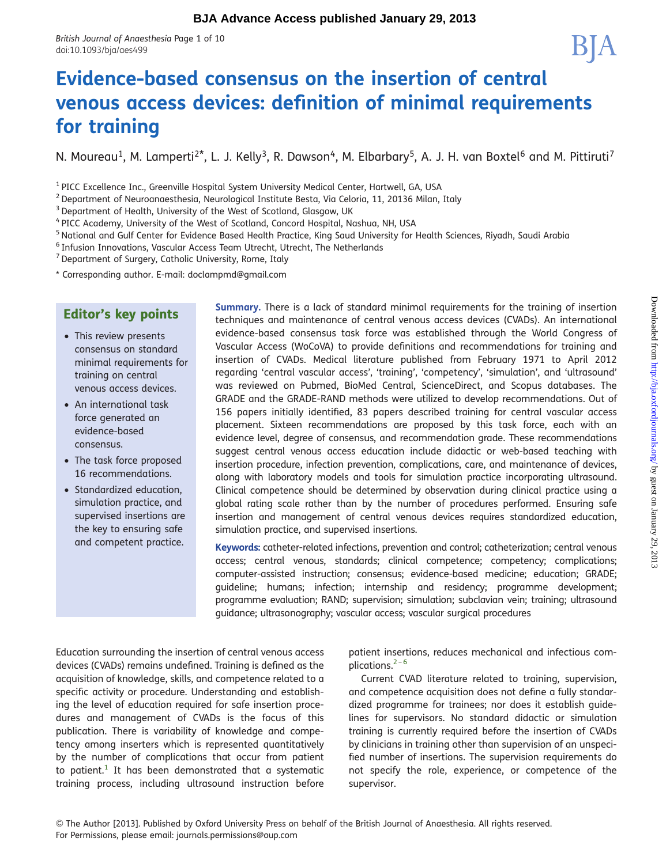# BIA

# Evidence-based consensus on the insertion of central venous access devices: definition of minimal requirements for training

N. Moureau<sup>1</sup>, M. Lamperti<sup>2\*</sup>, L. J. Kelly<sup>3</sup>, R. Dawson<sup>4</sup>, M. Elbarbary<sup>5</sup>, A. J. H. van Boxtel<sup>6</sup> and M. Pittiruti<sup>7</sup>

<sup>1</sup> PICC Excellence Inc., Greenville Hospital System University Medical Center, Hartwell, GA, USA

<sup>2</sup> Department of Neuroanaesthesia, Neurological Institute Besta, Via Celoria, 11, 20136 Milan, Italy

<sup>3</sup> Department of Health, University of the West of Scotland, Glasgow, UK

<sup>4</sup> PICC Academy, University of the West of Scotland, Concord Hospital, Nashua, NH, USA

<sup>5</sup> National and Gulf Center for Evidence Based Health Practice, King Saud University for Health Sciences, Riyadh, Saudi Arabia

<sup>6</sup> Infusion Innovations, Vascular Access Team Utrecht, Utrecht, The Netherlands

<sup>7</sup> Department of Surgery, Catholic University, Rome, Italy

\* Corresponding author. E-mail: [doclampmd@gmail.com](mailto:doclampmd@gmail.com)

# Editor's key points

- This review presents consensus on standard minimal requirements for training on central venous access devices.
- An international task force generated an evidence-based consensus.
- The task force proposed 16 recommendations.
- Standardized education, simulation practice, and supervised insertions are the key to ensuring safe and competent practice.

Summary. There is a lack of standard minimal requirements for the training of insertion techniques and maintenance of central venous access devices (CVADs). An international evidence-based consensus task force was established through the World Congress of Vascular Access (WoCoVA) to provide definitions and recommendations for training and insertion of CVADs. Medical literature published from February 1971 to April 2012 regarding 'central vascular access', 'training', 'competency', 'simulation', and 'ultrasound' was reviewed on Pubmed, BioMed Central, ScienceDirect, and Scopus databases. The GRADE and the GRADE-RAND methods were utilized to develop recommendations. Out of 156 papers initially identified, 83 papers described training for central vascular access placement. Sixteen recommendations are proposed by this task force, each with an evidence level, degree of consensus, and recommendation grade. These recommendations suggest central venous access education include didactic or web-based teaching with insertion procedure, infection prevention, complications, care, and maintenance of devices, along with laboratory models and tools for simulation practice incorporating ultrasound. Clinical competence should be determined by observation during clinical practice using a global rating scale rather than by the number of procedures performed. Ensuring safe insertion and management of central venous devices requires standardized education, simulation practice, and supervised insertions.

Keywords: catheter-related infections, prevention and control; catheterization; central venous access; central venous, standards; clinical competence; competency; complications; computer-assisted instruction; consensus; evidence-based medicine; education; GRADE; guideline; humans; infection; internship and residency; programme development; programme evaluation; RAND; supervision; simulation; subclavian vein; training; ultrasound guidance; ultrasonography; vascular access; vascular surgical procedures

Education surrounding the insertion of central venous access devices (CVADs) remains undefined. Training is defined as the acquisition of knowledge, skills, and competence related to a specific activity or procedure. Understanding and establishing the level of education required for safe insertion procedures and management of CVADs is the focus of this publication. There is variability of knowledge and competency among inserters which is represented quantitatively by the number of complications that occur from patient to patient.<sup>[1](#page-7-0)</sup> It has been demonstrated that a systematic training process, including ultrasound instruction before

patient insertions, reduces mechanical and infectious com-plications.<sup>[2](#page-7-0)-[6](#page-7-0)</sup>

Current CVAD literature related to training, supervision, and competence acquisition does not define a fully standardized programme for trainees; nor does it establish guidelines for supervisors. No standard didactic or simulation training is currently required before the insertion of CVADs by clinicians in training other than supervision of an unspecified number of insertions. The supervision requirements do not specify the role, experience, or competence of the supervisor.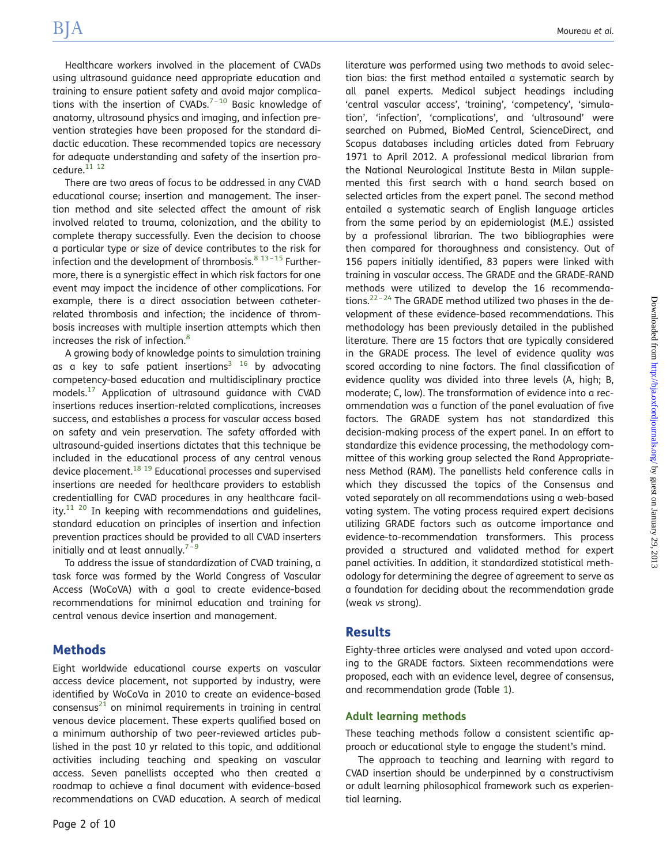Healthcare workers involved in the placement of CVADs using ultrasound guidance need appropriate education and training to ensure patient safety and avoid major complications with the insertion of CVADs. $7-10$  $7-10$  $7-10$  Basic knowledge of anatomy, ultrasound physics and imaging, and infection prevention strategies have been proposed for the standard didactic education. These recommended topics are necessary for adequate understanding and safety of the insertion pro-cedure.<sup>[11 12](#page-7-0)</sup>

There are two areas of focus to be addressed in any CVAD educational course; insertion and management. The insertion method and site selected affect the amount of risk involved related to trauma, colonization, and the ability to complete therapy successfully. Even the decision to choose a particular type or size of device contributes to the risk for infection and the development of thrombosis. $8^{13-15}$  $8^{13-15}$  $8^{13-15}$  Furthermore, there is a synergistic effect in which risk factors for one event may impact the incidence of other complications. For example, there is a direct association between catheterrelated thrombosis and infection; the incidence of thrombosis increases with multiple insertion attempts which then increases the risk of infection.<sup>[8](#page-7-0)</sup>

A growing body of knowledge points to simulation training as a key to safe patient insertions<sup>[3 16](#page-7-0)</sup> by advocating competency-based education and multidisciplinary practice models.[17](#page-7-0) Application of ultrasound guidance with CVAD insertions reduces insertion-related complications, increases success, and establishes a process for vascular access based on safety and vein preservation. The safety afforded with ultrasound-guided insertions dictates that this technique be included in the educational process of any central venous device placement.<sup>[18 19](#page-7-0)</sup> Educational processes and supervised insertions are needed for healthcare providers to establish credentialling for CVAD procedures in any healthcare facility. $11^{20}$  In keeping with recommendations and guidelines, standard education on principles of insertion and infection prevention practices should be provided to all CVAD inserters initially and at least annually.<sup>[7](#page-7-0)-[9](#page-7-0)</sup>

To address the issue of standardization of CVAD training, a task force was formed by the World Congress of Vascular Access (WoCoVA) with a goal to create evidence-based recommendations for minimal education and training for central venous device insertion and management.

#### **Methods**

Eight worldwide educational course experts on vascular access device placement, not supported by industry, were identified by WoCoVa in 2010 to create an evidence-based consensus $^{21}$  $^{21}$  $^{21}$  on minimal requirements in training in central venous device placement. These experts qualified based on a minimum authorship of two peer-reviewed articles published in the past 10 yr related to this topic, and additional activities including teaching and speaking on vascular access. Seven panellists accepted who then created a roadmap to achieve a final document with evidence-based recommendations on CVAD education. A search of medical literature was performed using two methods to avoid selection bias: the first method entailed a systematic search by all panel experts. Medical subject headings including 'central vascular access', 'training', 'competency', 'simulation', 'infection', 'complications', and 'ultrasound' were searched on Pubmed, BioMed Central, ScienceDirect, and Scopus databases including articles dated from February 1971 to April 2012. A professional medical librarian from the National Neurological Institute Besta in Milan supplemented this first search with a hand search based on selected articles from the expert panel. The second method entailed a systematic search of English language articles from the same period by an epidemiologist (M.E.) assisted by a professional librarian. The two bibliographies were then compared for thoroughness and consistency. Out of 156 papers initially identified, 83 papers were linked with training in vascular access. The GRADE and the GRADE-RAND methods were utilized to develop the 16 recommenda-tions.<sup>[22](#page-8-0)–[24](#page-8-0)</sup> The GRADE method utilized two phases in the development of these evidence-based recommendations. This methodology has been previously detailed in the published literature. There are 15 factors that are typically considered in the GRADE process. The level of evidence quality was scored according to nine factors. The final classification of evidence quality was divided into three levels (A, high; B, moderate; C, low). The transformation of evidence into a recommendation was a function of the panel evaluation of five factors. The GRADE system has not standardized this decision-making process of the expert panel. In an effort to standardize this evidence processing, the methodology committee of this working group selected the Rand Appropriateness Method (RAM). The panellists held conference calls in which they discussed the topics of the Consensus and voted separately on all recommendations using a web-based voting system. The voting process required expert decisions utilizing GRADE factors such as outcome importance and evidence-to-recommendation transformers. This process provided a structured and validated method for expert panel activities. In addition, it standardized statistical methodology for determining the degree of agreement to serve as a foundation for deciding about the recommendation grade (weak vs strong).

#### Results

Eighty-three articles were analysed and voted upon according to the GRADE factors. Sixteen recommendations were proposed, each with an evidence level, degree of consensus, and recommendation grade (Table [1](#page-2-0)).

#### Adult learning methods

These teaching methods follow a consistent scientific approach or educational style to engage the student's mind.

The approach to teaching and learning with regard to CVAD insertion should be underpinned by a constructivism or adult learning philosophical framework such as experiential learning.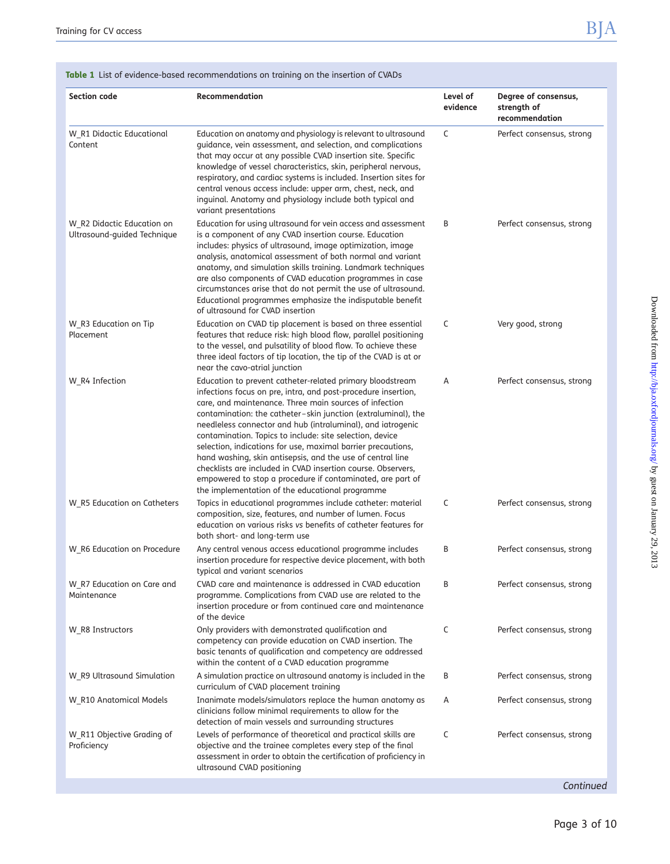<span id="page-2-0"></span>

| <b>Section code</b>                                       | Recommendation                                                                                                                                                                                                                                                                                                                                                                                                                                                                                                                                                                                                                                                                                  | Level of<br>evidence | Degree of consensus,<br>strength of<br>recommendation |
|-----------------------------------------------------------|-------------------------------------------------------------------------------------------------------------------------------------------------------------------------------------------------------------------------------------------------------------------------------------------------------------------------------------------------------------------------------------------------------------------------------------------------------------------------------------------------------------------------------------------------------------------------------------------------------------------------------------------------------------------------------------------------|----------------------|-------------------------------------------------------|
| W_R1 Didactic Educational<br>Content                      | Education on anatomy and physiology is relevant to ultrasound<br>guidance, vein assessment, and selection, and complications<br>that may occur at any possible CVAD insertion site. Specific<br>knowledge of vessel characteristics, skin, peripheral nervous,<br>respiratory, and cardiac systems is included. Insertion sites for<br>central venous access include: upper arm, chest, neck, and<br>inguinal. Anatomy and physiology include both typical and<br>variant presentations                                                                                                                                                                                                         | C                    | Perfect consensus, strong                             |
| W_R2 Didactic Education on<br>Ultrasound-guided Technique | Education for using ultrasound for vein access and assessment<br>is a component of any CVAD insertion course. Education<br>includes: physics of ultrasound, image optimization, image<br>analysis, anatomical assessment of both normal and variant<br>anatomy, and simulation skills training. Landmark techniques<br>are also components of CVAD education programmes in case<br>circumstances arise that do not permit the use of ultrasound.<br>Educational programmes emphasize the indisputable benefit<br>of ultrasound for CVAD insertion                                                                                                                                               | B                    | Perfect consensus, strong                             |
| W_R3 Education on Tip<br>Placement                        | Education on CVAD tip placement is based on three essential<br>features that reduce risk: high blood flow, parallel positioning<br>to the vessel, and pulsatility of blood flow. To achieve these<br>three ideal factors of tip location, the tip of the CVAD is at or<br>near the cavo-atrial junction                                                                                                                                                                                                                                                                                                                                                                                         | C                    | Very good, strong                                     |
| W_R4 Infection                                            | Education to prevent catheter-related primary bloodstream<br>infections focus on pre, intra, and post-procedure insertion,<br>care, and maintenance. Three main sources of infection<br>contamination: the catheter-skin junction (extraluminal), the<br>needleless connector and hub (intraluminal), and iatrogenic<br>contamination. Topics to include: site selection, device<br>selection, indications for use, maximal barrier precautions,<br>hand washing, skin antisepsis, and the use of central line<br>checklists are included in CVAD insertion course. Observers,<br>empowered to stop a procedure if contaminated, are part of<br>the implementation of the educational programme | Α                    | Perfect consensus, strong                             |
| W_R5 Education on Catheters                               | Topics in educational programmes include catheter: material<br>composition, size, features, and number of lumen. Focus<br>education on various risks vs benefits of catheter features for<br>both short- and long-term use                                                                                                                                                                                                                                                                                                                                                                                                                                                                      | C                    | Perfect consensus, strong                             |
| W_R6 Education on Procedure                               | Any central venous access educational programme includes<br>insertion procedure for respective device placement, with both<br>typical and variant scenarios                                                                                                                                                                                                                                                                                                                                                                                                                                                                                                                                     | B                    | Perfect consensus, strong                             |
| W_R7 Education on Care and<br>Maintenance                 | CVAD care and maintenance is addressed in CVAD education<br>programme. Complications from CVAD use are related to the<br>insertion procedure or from continued care and maintenance<br>of the device                                                                                                                                                                                                                                                                                                                                                                                                                                                                                            | B                    | Perfect consensus, strong                             |
| W_R8 Instructors                                          | Only providers with demonstrated qualification and<br>competency can provide education on CVAD insertion. The<br>basic tenants of qualification and competency are addressed<br>within the content of a CVAD education programme                                                                                                                                                                                                                                                                                                                                                                                                                                                                | C                    | Perfect consensus, strong                             |
| W_R9 Ultrasound Simulation                                | A simulation practice on ultrasound anatomy is included in the<br>curriculum of CVAD placement training                                                                                                                                                                                                                                                                                                                                                                                                                                                                                                                                                                                         | B                    | Perfect consensus, strong                             |
| W R10 Anatomical Models                                   | Inanimate models/simulators replace the human anatomy as<br>clinicians follow minimal requirements to allow for the<br>detection of main vessels and surrounding structures                                                                                                                                                                                                                                                                                                                                                                                                                                                                                                                     | Α                    | Perfect consensus, strong                             |
| W_R11 Objective Grading of<br>Proficiency                 | Levels of performance of theoretical and practical skills are<br>objective and the trainee completes every step of the final<br>assessment in order to obtain the certification of proficiency in<br>ultrasound CVAD positioning                                                                                                                                                                                                                                                                                                                                                                                                                                                                | C                    | Perfect consensus, strong                             |
|                                                           |                                                                                                                                                                                                                                                                                                                                                                                                                                                                                                                                                                                                                                                                                                 |                      | Continued                                             |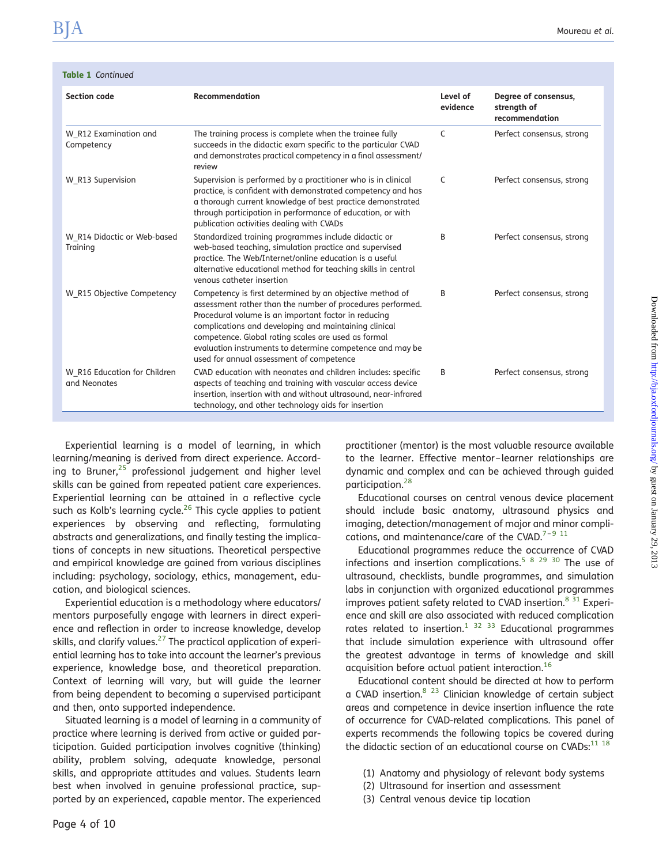| <b>Table 1</b> Continued |  |
|--------------------------|--|
|--------------------------|--|

| <b>Section code</b>                          | <b>Recommendation</b>                                                                                                                                                                                                                                                                                                                                                                                   | Level of<br>evidence | Degree of consensus,<br>strength of<br>recommendation |
|----------------------------------------------|---------------------------------------------------------------------------------------------------------------------------------------------------------------------------------------------------------------------------------------------------------------------------------------------------------------------------------------------------------------------------------------------------------|----------------------|-------------------------------------------------------|
| W R12 Examination and<br>Competency          | The training process is complete when the trainee fully<br>succeeds in the didactic exam specific to the particular CVAD<br>and demonstrates practical competency in a final assessment/<br>review                                                                                                                                                                                                      | C                    | Perfect consensus, strong                             |
| W R13 Supervision                            | Supervision is performed by a practitioner who is in clinical<br>practice, is confident with demonstrated competency and has<br>a thorough current knowledge of best practice demonstrated<br>through participation in performance of education, or with<br>publication activities dealing with CVADs                                                                                                   | C                    | Perfect consensus, strong                             |
| W R14 Didactic or Web-based<br>Training      | Standardized training programmes include didactic or<br>web-based teaching, simulation practice and supervised<br>practice. The Web/Internet/online education is a useful<br>alternative educational method for teaching skills in central<br>venous catheter insertion                                                                                                                                 | <sub>R</sub>         | Perfect consensus, strong                             |
| W R15 Objective Competency                   | Competency is first determined by an objective method of<br>assessment rather than the number of procedures performed.<br>Procedural volume is an important factor in reducing<br>complications and developing and maintaining clinical<br>competence. Global rating scales are used as formal<br>evaluation instruments to determine competence and may be<br>used for annual assessment of competence | B                    | Perfect consensus, strong                             |
| W R16 Education for Children<br>and Neonates | CVAD education with neonates and children includes: specific<br>aspects of teaching and training with vascular access device<br>insertion, insertion with and without ultrasound, near-infrared<br>technology, and other technology aids for insertion                                                                                                                                                  | B                    | Perfect consensus, strong                             |

Experiential learning is a model of learning, in which learning/meaning is derived from direct experience. According to Bruner, $25$  professional judgement and higher level skills can be gained from repeated patient care experiences. Experiential learning can be attained in a reflective cycle such as Kolb's learning cycle.<sup>[26](#page-8-0)</sup> This cycle applies to patient experiences by observing and reflecting, formulating abstracts and generalizations, and finally testing the implications of concepts in new situations. Theoretical perspective and empirical knowledge are gained from various disciplines including: psychology, sociology, ethics, management, education, and biological sciences.

Experiential education is a methodology where educators/ mentors purposefully engage with learners in direct experience and reflection in order to increase knowledge, develop skills, and clarify values.<sup>27</sup> The practical application of experiential learning has to take into account the learner's previous experience, knowledge base, and theoretical preparation. Context of learning will vary, but will guide the learner from being dependent to becoming a supervised participant and then, onto supported independence.

Situated learning is a model of learning in a community of practice where learning is derived from active or guided participation. Guided participation involves cognitive (thinking) ability, problem solving, adequate knowledge, personal skills, and appropriate attitudes and values. Students learn best when involved in genuine professional practice, supported by an experienced, capable mentor. The experienced

practitioner (mentor) is the most valuable resource available to the learner. Effective mentor–learner relationships are dynamic and complex and can be achieved through guided participation.<sup>[28](#page-8-0)</sup>

Educational courses on central venous device placement should include basic anatomy, ultrasound physics and imaging, detection/management of major and minor complications, and maintenance/care of the CVAD. $7-9$  $7-9$  11

Educational programmes reduce the occurrence of CVAD infections and insertion complications.<sup>[5 8](#page-7-0) [29 30](#page-8-0)</sup> The use of ultrasound, checklists, bundle programmes, and simulation labs in conjunction with organized educational programmes improves patient safety related to CVAD insertion.<sup>[8](#page-7-0) [31](#page-8-0)</sup> Experience and skill are also associated with reduced complication rates related to insertion.<sup>[1](#page-7-0) [32 33](#page-8-0)</sup> Educational programmes that include simulation experience with ultrasound offer the greatest advantage in terms of knowledge and skill acquisition before actual patient interaction.<sup>[16](#page-7-0)</sup>

Educational content should be directed at how to perform a CVAD insertion.<sup>8 [23](#page-8-0)</sup> Clinician knowledge of certain subject areas and competence in device insertion influence the rate of occurrence for CVAD-related complications. This panel of experts recommends the following topics be covered during the didactic section of an educational course on  $CVADS: <sup>11-18</sup>$ 

- (1) Anatomy and physiology of relevant body systems
- (2) Ultrasound for insertion and assessment
- (3) Central venous device tip location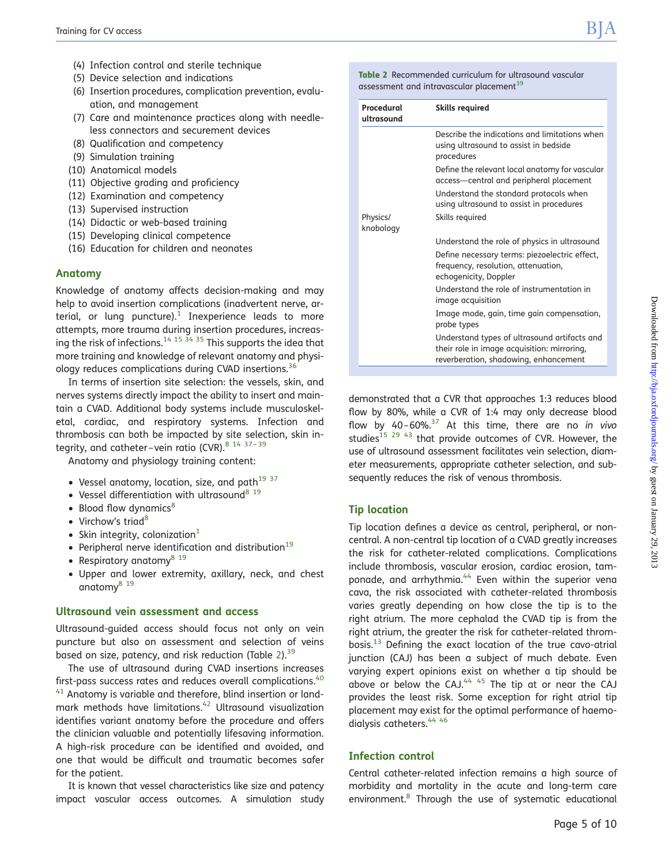- (4) Infection control and sterile technique
- (5) Device selection and indications
- (6) Insertion procedures, complication prevention, evaluation, and management
- (7) Care and maintenance practices along with needleless connectors and securement devices
- (8) Qualification and competency
- (9) Simulation training
- (10) Anatomical models
- (11) Objective grading and proficiency
- (12) Examination and competency
- (13) Supervised instruction
- (14) Didactic or web-based training
- (15) Developing clinical competence
- (16) Education for children and neonates

#### Anatomy

Knowledge of anatomy affects decision-making and may help to avoid insertion complications (inadvertent nerve, arterial, or lung puncture). $1$  Inexperience leads to more attempts, more trauma during insertion procedures, increas-ing the risk of infections.<sup>14 15 [34 35](#page-8-0)</sup> This supports the idea that more training and knowledge of relevant anatomy and physi-ology reduces complications during CVAD insertions.<sup>[36](#page-8-0)</sup>

In terms of insertion site selection: the vessels, skin, and nerves systems directly impact the ability to insert and maintain a CVAD. Additional body systems include musculoskeletal, cardiac, and respiratory systems. Infection and thrombosis can both be impacted by site selection, skin integrity, and catheter-vein ratio (CVR).  $8^{14}$  [37](#page-8-0)-[39](#page-8-0)

Anatomy and physiology training content:

- $\bullet$  Vessel anatomy, location, size, and path $^{19}$  [37](#page-8-0)
- $\bullet$  Vessel differentiation with ultrasound<sup>[8 19](#page-7-0)</sup>
- $\bullet$  Blood flow dynamics<sup>[8](#page-7-0)</sup>
- Virchow's triad<sup>[8](#page-7-0)</sup>
- Skin integrity, colonization $<sup>1</sup>$  $<sup>1</sup>$  $<sup>1</sup>$ </sup>
- $\bullet$  Peripheral nerve identification and distribution<sup>[19](#page-7-0)</sup>
- Respiratory anatomy $819$
- † Upper and lower extremity, axillary, neck, and chest anatom[y8 19](#page-7-0)

#### Ultrasound vein assessment and access

Ultrasound-guided access should focus not only on vein puncture but also on assessment and selection of veins based on size, patency, and risk reduction (Table 2). $39$ 

The use of ultrasound during CVAD insertions increases first-pass success rates and reduces overall complications.<sup>[40](#page-8-0)</sup>  $41$  Anatomy is variable and therefore, blind insertion or land-mark methods have limitations.<sup>[42](#page-8-0)</sup> Ultrasound visualization identifies variant anatomy before the procedure and offers the clinician valuable and potentially lifesaving information. A high-risk procedure can be identified and avoided, and one that would be difficult and traumatic becomes safer for the patient.

It is known that vessel characteristics like size and patency impact vascular access outcomes. A simulation study Table 2 Recommended curriculum for ultrasound vascular assessment and intravascular placement<sup>[39](#page-8-0)</sup>

| Procedural<br>ultrasound | <b>Skills required</b>                                                                                                               |  |
|--------------------------|--------------------------------------------------------------------------------------------------------------------------------------|--|
|                          | Describe the indications and limitations when<br>using ultrasound to assist in bedside<br>procedures                                 |  |
|                          | Define the relevant local anatomy for vascular<br>access-central and peripheral placement                                            |  |
|                          | Understand the standard protocols when<br>using ultrasound to assist in procedures                                                   |  |
| Physics/<br>knobology    | Skills required                                                                                                                      |  |
|                          | Understand the role of physics in ultrasound                                                                                         |  |
|                          | Define necessary terms: piezoelectric effect,<br>frequency, resolution, attenuation,<br>echogenicity, Doppler                        |  |
|                          | Understand the role of instrumentation in<br>image acquisition                                                                       |  |
|                          | Image mode, gain, time gain compensation,<br>probe types                                                                             |  |
|                          | Understand types of ultrasound artifacts and<br>their role in image acquisition: mirroring,<br>reverberation, shadowing, enhancement |  |

demonstrated that a CVR that approaches 1:3 reduces blood flow by 80%, while a CVR of 1:4 may only decrease blood flow by 40–60%. $37$  At this time, there are no in vivo studies $^{15}$  $^{15}$  $^{15}$  <sup>29 43</sup> that provide outcomes of CVR. However, the use of ultrasound assessment facilitates vein selection, diameter measurements, appropriate catheter selection, and subsequently reduces the risk of venous thrombosis.

#### Tip location

Tip location defines a device as central, peripheral, or noncentral. A non-central tip location of a CVAD greatly increases the risk for catheter-related complications. Complications include thrombosis, vascular erosion, cardiac erosion, tamponade, and arrhythmia.<sup>44</sup> Even within the superior vena cava, the risk associated with catheter-related thrombosis varies greatly depending on how close the tip is to the right atrium. The more cephalad the CVAD tip is from the right atrium, the greater the risk for catheter-related thrombosis. $^{13}$  $^{13}$  $^{13}$  Defining the exact location of the true cavo-atrial junction (CAJ) has been a subject of much debate. Even varying expert opinions exist on whether a tip should be above or below the CAJ. $44$   $45$  The tip at or near the CAJ provides the least risk. Some exception for right atrial tip placement may exist for the optimal performance of haemo-dialysis catheters.<sup>[44 46](#page-8-0)</sup>

#### Infection control

Central catheter-related infection remains a high source of morbidity and mortality in the acute and long-term care environment.<sup>8</sup> Through the use of systematic educational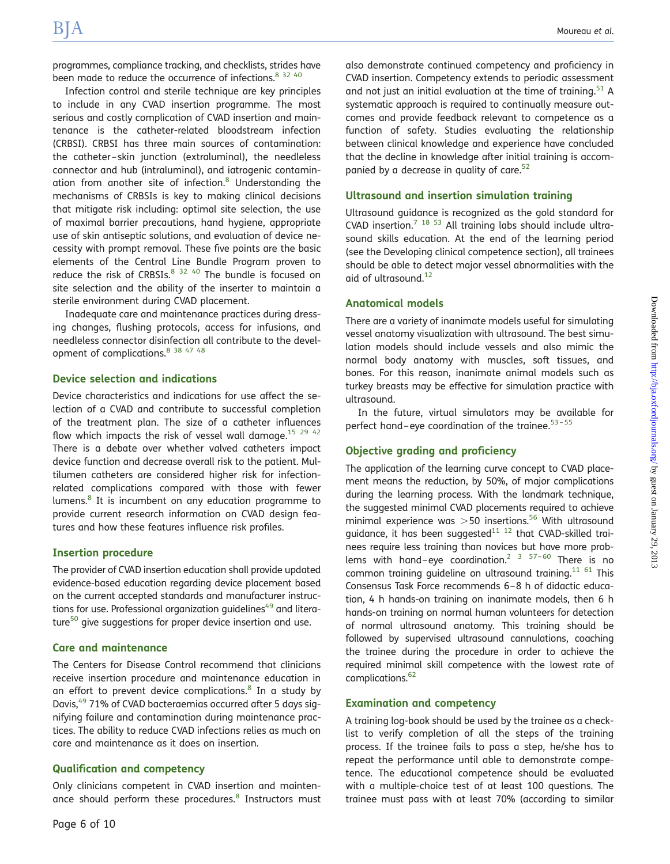programmes, compliance tracking, and checklists, strides have been made to reduce the occurrence of infections.<sup>8 [32 40](#page-8-0)</sup>

Infection control and sterile technique are key principles to include in any CVAD insertion programme. The most serious and costly complication of CVAD insertion and maintenance is the catheter-related bloodstream infection (CRBSI). CRBSI has three main sources of contamination: the catheter –skin junction (extraluminal), the needleless connector and hub (intraluminal), and iatrogenic contamin-ation from another site of infection.<sup>[8](#page-7-0)</sup> Understanding the mechanisms of CRBSIs is key to making clinical decisions that mitigate risk including: optimal site selection, the use of maximal barrier precautions, hand hygiene, appropriate use of skin antiseptic solutions, and evaluation of device necessity with prompt removal. These five points are the basic elements of the Central Line Bundle Program proven to reduce the risk of CRBSIs. $8^{32}$  $8^{32}$  40 The bundle is focused on site selection and the ability of the inserter to maintain a sterile environment during CVAD placement.

Inadequate care and maintenance practices during dressing changes, flushing protocols, access for infusions, and needleless connector disinfection all contribute to the devel-opment of complications.<sup>[8](#page-7-0) [38 47 48](#page-8-0)</sup>

#### Device selection and indications

Device characteristics and indications for use affect the selection of a CVAD and contribute to successful completion of the treatment plan. The size of a catheter influences flow which impacts the risk of vessel wall damage.<sup>[15](#page-7-0) [29 42](#page-8-0)</sup> There is a debate over whether valved catheters impact device function and decrease overall risk to the patient. Multilumen catheters are considered higher risk for infectionrelated complications compared with those with fewer lumens. $8$  It is incumbent on any education programme to provide current research information on CVAD design features and how these features influence risk profiles.

#### Insertion procedure

The provider of CVAD insertion education shall provide updated evidence-based education regarding device placement based on the current accepted standards and manufacturer instruc-tions for use. Professional organization guidelines<sup>[49](#page-8-0)</sup> and literature $50$  give suggestions for proper device insertion and use.

#### Care and maintenance

The Centers for Disease Control recommend that clinicians receive insertion procedure and maintenance education in an effort to prevent device complications. $8$  In a study by Davis,<sup>[49](#page-8-0)</sup> 71% of CVAD bacteraemias occurred after 5 days signifying failure and contamination during maintenance practices. The ability to reduce CVAD infections relies as much on care and maintenance as it does on insertion.

#### Qualification and competency

Only clinicians competent in CVAD insertion and mainten-ance should perform these procedures.<sup>[8](#page-7-0)</sup> Instructors must

and not just an initial evaluation at the time of training. $51$  A systematic approach is required to continually measure outcomes and provide feedback relevant to competence as a function of safety. Studies evaluating the relationship between clinical knowledge and experience have concluded that the decline in knowledge after initial training is accompanied by a decrease in quality of care. $52$ Ultrasound and insertion simulation training

Ultrasound guidance is recognized as the gold standard for CVAD insertion.<sup>[7 18](#page-7-0) [53](#page-8-0)</sup> All training labs should include ultrasound skills education. At the end of the learning period (see the Developing clinical competence section), all trainees should be able to detect major vessel abnormalities with the aid of ultrasound.<sup>[12](#page-7-0)</sup>

also demonstrate continued competency and proficiency in CVAD insertion. Competency extends to periodic assessment

#### Anatomical models

There are a variety of inanimate models useful for simulating vessel anatomy visualization with ultrasound. The best simulation models should include vessels and also mimic the normal body anatomy with muscles, soft tissues, and bones. For this reason, inanimate animal models such as turkey breasts may be effective for simulation practice with ultrasound.

In the future, virtual simulators may be available for perfect hand-eye coordination of the trainee. $53-55$  $53-55$  $53-55$ 

#### Objective grading and proficiency

The application of the learning curve concept to CVAD placement means the reduction, by 50%, of major complications during the learning process. With the landmark technique, the suggested minimal CVAD placements required to achieve minimal experience was  $>$  50 insertions.<sup>[56](#page-8-0)</sup> With ultrasound quidance, it has been suggested $11$   $12$  that CVAD-skilled trainees require less training than novices but have more problems with hand–eye coordination.<sup>2</sup>  $357-60$  $357-60$  There is no common training quideline on ultrasound training.<sup>[11](#page-7-0) [61](#page-8-0)</sup> This Consensus Task Force recommends 6–8 h of didactic education, 4 h hands-on training on inanimate models, then 6 h hands-on training on normal human volunteers for detection of normal ultrasound anatomy. This training should be followed by supervised ultrasound cannulations, coaching the trainee during the procedure in order to achieve the required minimal skill competence with the lowest rate of complications.<sup>62</sup>

#### Examination and competency

A training log-book should be used by the trainee as a checklist to verify completion of all the steps of the training process. If the trainee fails to pass a step, he/she has to repeat the performance until able to demonstrate competence. The educational competence should be evaluated with a multiple-choice test of at least 100 questions. The trainee must pass with at least 70% (according to similar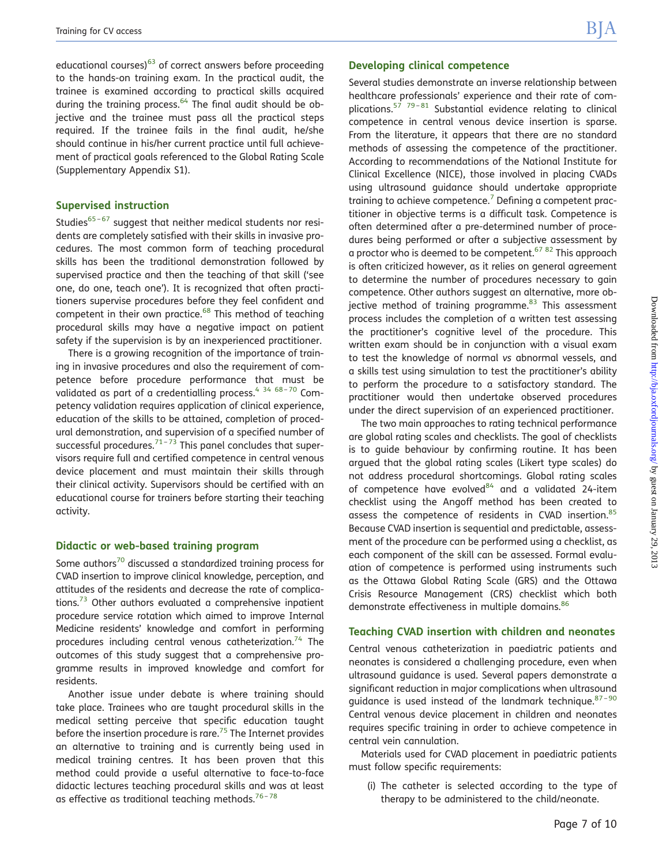educational courses) $63$  of correct answers before proceeding to the hands-on training exam. In the practical audit, the trainee is examined according to practical skills acquired during the training process. $64$  The final audit should be objective and the trainee must pass all the practical steps required. If the trainee fails in the final audit, he/she should continue in his/her current practice until full achievement of practical goals referenced to the Global Rating Scale ([Supplementary Appendix S1\)](http://bja.oxfordjournals.org/lookup/suppl/doi:10.1093/bja/aes499/-/DC1).

#### Supervised instruction

Studies $65-67$  $65-67$  suggest that neither medical students nor residents are completely satisfied with their skills in invasive procedures. The most common form of teaching procedural skills has been the traditional demonstration followed by supervised practice and then the teaching of that skill ('see one, do one, teach one'). It is recognized that often practitioners supervise procedures before they feel confident and competent in their own practice. $68$  This method of teaching procedural skills may have a negative impact on patient safety if the supervision is by an inexperienced practitioner.

There is a growing recognition of the importance of training in invasive procedures and also the requirement of competence before procedure performance that must be validated as part of a credentialling process. $43468 - 70$  $43468 - 70$  Competency validation requires application of clinical experience, education of the skills to be attained, completion of procedural demonstration, and supervision of a specified number of successful procedures. $71-73$  $71-73$  $71-73$  This panel concludes that supervisors require full and certified competence in central venous device placement and must maintain their skills through their clinical activity. Supervisors should be certified with an educational course for trainers before starting their teaching activity.

#### Didactic or web-based training program

Some authors<sup>[70](#page-9-0)</sup> discussed a standardized training process for CVAD insertion to improve clinical knowledge, perception, and attitudes of the residents and decrease the rate of complications.<sup>73</sup> Other authors evaluated a comprehensive inpatient procedure service rotation which aimed to improve Internal Medicine residents' knowledge and comfort in performing procedures including central venous catheterization.<sup>74</sup> The outcomes of this study suggest that a comprehensive programme results in improved knowledge and comfort for residents.

Another issue under debate is where training should take place. Trainees who are taught procedural skills in the medical setting perceive that specific education taught before the insertion procedure is rare.<sup>[75](#page-9-0)</sup> The Internet provides an alternative to training and is currently being used in medical training centres. It has been proven that this method could provide a useful alternative to face-to-face didactic lectures teaching procedural skills and was at least as effective as traditional teaching methods.<sup>76-[78](#page-9-0)</sup>

#### Developing clinical competence

Several studies demonstrate an inverse relationship between healthcare professionals' experience and their rate of com-plications.<sup>[57](#page-8-0)</sup> <sup>79-[81](#page-9-0)</sup> Substantial evidence relating to clinical competence in central venous device insertion is sparse. From the literature, it appears that there are no standard methods of assessing the competence of the practitioner. According to recommendations of the National Institute for Clinical Excellence (NICE), those involved in placing CVADs using ultrasound guidance should undertake appropriate training to achieve competence.<sup>[7](#page-7-0)</sup> Defining a competent practitioner in objective terms is a difficult task. Competence is often determined after a pre-determined number of procedures being performed or after a subjective assessment by a proctor who is deemed to be competent.<sup>[67 82](#page-9-0)</sup> This approach is often criticized however, as it relies on general agreement to determine the number of procedures necessary to gain competence. Other authors suggest an alternative, more ob-jective method of training programme.<sup>[83](#page-9-0)</sup> This assessment process includes the completion of a written test assessing the practitioner's cognitive level of the procedure. This written exam should be in conjunction with a visual exam to test the knowledge of normal vs abnormal vessels, and a skills test using simulation to test the practitioner's ability to perform the procedure to a satisfactory standard. The practitioner would then undertake observed procedures under the direct supervision of an experienced practitioner.

The two main approaches to rating technical performance are global rating scales and checklists. The goal of checklists is to guide behaviour by confirming routine. It has been argued that the global rating scales (Likert type scales) do not address procedural shortcomings. Global rating scales of competence have evolved $84$  and a validated 24-item checklist using the Angoff method has been created to assess the competence of residents in CVAD insertion.<sup>[85](#page-9-0)</sup> Because CVAD insertion is sequential and predictable, assessment of the procedure can be performed using a checklist, as each component of the skill can be assessed. Formal evaluation of competence is performed using instruments such as the Ottawa Global Rating Scale (GRS) and the Ottawa Crisis Resource Management (CRS) checklist which both demonstrate effectiveness in multiple domains.<sup>[86](#page-9-0)</sup>

#### Teaching CVAD insertion with children and neonates

Central venous catheterization in paediatric patients and neonates is considered a challenging procedure, even when ultrasound guidance is used. Several papers demonstrate a significant reduction in major complications when ultrasound guidance is used instead of the landmark technique.<sup>[87](#page-9-0)-[90](#page-9-0)</sup> Central venous device placement in children and neonates requires specific training in order to achieve competence in central vein cannulation.

Materials used for CVAD placement in paediatric patients must follow specific requirements:

(i) The catheter is selected according to the type of therapy to be administered to the child/neonate.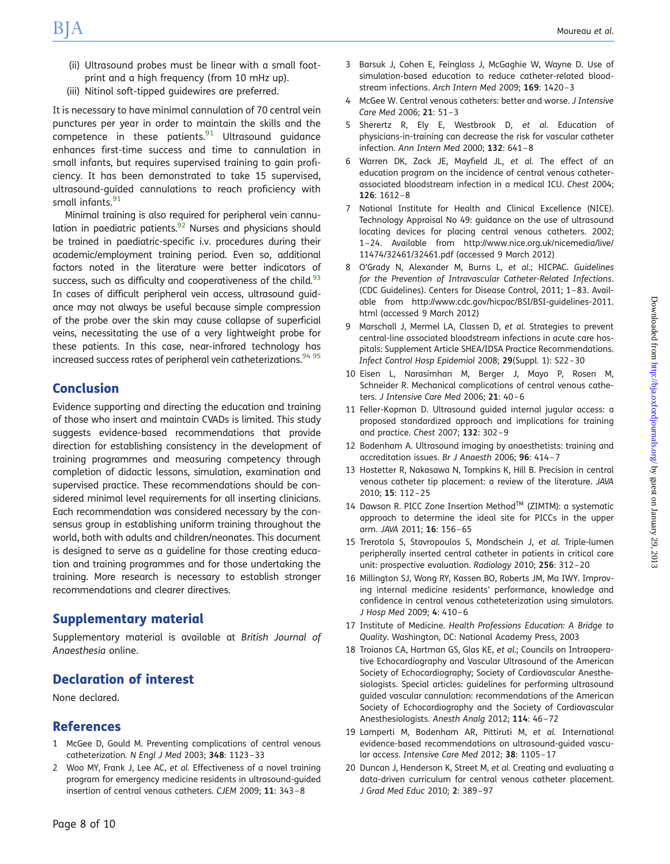- <span id="page-7-0"></span>(ii) Ultrasound probes must be linear with a small footprint and a high frequency (from 10 mHz up).
- (iii) Nitinol soft-tipped guidewires are preferred.

It is necessary to have minimal cannulation of 70 central vein punctures per year in order to maintain the skills and the competence in these patients. $91$  Ultrasound guidance enhances first-time success and time to cannulation in small infants, but requires supervised training to gain proficiency. It has been demonstrated to take 15 supervised, ultrasound-guided cannulations to reach proficiency with small infants.<sup>[91](#page-9-0)</sup>

Minimal training is also required for peripheral vein cannulation in paediatric patients. $92$  Nurses and physicians should be trained in paediatric-specific i.v. procedures during their academic/employment training period. Even so, additional factors noted in the literature were better indicators of success, such as difficulty and cooperativeness of the child. $93$ In cases of difficult peripheral vein access, ultrasound guidance may not always be useful because simple compression of the probe over the skin may cause collapse of superficial veins, necessitating the use of a very lightweight probe for these patients. In this case, near-infrared technology has increased success rates of peripheral vein catheterizations.<sup>94 95</sup>

# Conclusion

Evidence supporting and directing the education and training of those who insert and maintain CVADs is limited. This study suggests evidence-based recommendations that provide direction for establishing consistency in the development of training programmes and measuring competency through completion of didactic lessons, simulation, examination and supervised practice. These recommendations should be considered minimal level requirements for all inserting clinicians. Each recommendation was considered necessary by the consensus group in establishing uniform training throughout the world, both with adults and children/neonates. This document is designed to serve as a guideline for those creating education and training programmes and for those undertaking the training. More research is necessary to establish stronger recommendations and clearer directives.

## Supplementary material

[Supplementary material is available at](http://bja.oxfordjournals.org/lookup/suppl/doi:10.1093/bja/aes499/-/DC1) British Journal of [Anaesthesia](http://bja.oxfordjournals.org/lookup/suppl/doi:10.1093/bja/aes499/-/DC1) online.

# Declaration of interest

None declared.

### References

- 1 McGee D, Gould M. Preventing complications of central venous catheterization. N Engl J Med 2003; 348: 1123–33
- 2 Woo MY, Frank J, Lee AC, et al. Effectiveness of a novel training program for emergency medicine residents in ultrasound-guided insertion of central venous catheters. CJEM 2009; 11: 343–8
- 3 Barsuk J, Cohen E, Feinglass J, McGaghie W, Wayne D. Use of simulation-based education to reduce catheter-related bloodstream infections. Arch Intern Med 2009; 169: 1420–3
- 4 McGee W. Central venous catheters: better and worse. J Intensive Care Med 2006; 21: 51-3
- 5 Sherertz R, Ely E, Westbrook D, et al. Education of physicians-in-training can decrease the risk for vascular catheter infection. Ann Intern Med 2000; 132: 641–8
- 6 Warren DK, Zack JE, Mayfield JL, et al. The effect of an education program on the incidence of central venous catheterassociated bloodstream infection in a medical ICU. Chest 2004; 126: 1612–8
- 7 National Institute for Health and Clinical Excellence (NICE). Technology Appraisal No 49: guidance on the use of ultrasound locating devices for placing central venous catheters. 2002; 1–24. Available from [http://www.nice.org.uk/nicemedia/live/](http://www.nice.org.uk/nicemedia/live/11474/32461/32461.pdf) [11474/32461/32461.pdf](http://www.nice.org.uk/nicemedia/live/11474/32461/32461.pdf) (accessed 9 March 2012)
- 8 O'Grady N, Alexander M, Burns L, et al.; HICPAC. Guidelines for the Prevention of Intravascular Catheter-Related Infections. (CDC Guidelines). Centers for Disease Control, 2011; 1 –83. Available from [http://www.cdc.gov/hicpac/BSI/BSI-guidelines-2011.](http://www.cdc.gov/hicpac/BSI/BSI-guidelines-2011.html) [html](http://www.cdc.gov/hicpac/BSI/BSI-guidelines-2011.html) (accessed 9 March 2012)
- 9 Marschall J, Mermel LA, Classen D, et al. Strategies to prevent central-line associated bloodstream infections in acute care hospitals: Supplement Article SHEA/IDSA Practice Recommendations. Infect Control Hosp Epidemiol 2008; 29(Suppl. 1): S22–30
- 10 Eisen L, Narasimhan M, Berger J, Mayo P, Rosen M, Schneider R. Mechanical complications of central venous catheters. J Intensive Care Med 2006; 21: 40 –6
- 11 Feller-Kopman D. Ultrasound guided internal jugular access: a proposed standardized approach and implications for training and practice. Chest 2007; 132: 302–9
- 12 Bodenham A. Ultrasound imaging by anaesthetists: training and accreditation issues. Br J Anaesth 2006; 96: 414–7
- 13 Hostetter R, Nakasawa N, Tompkins K, Hill B. Precision in central venous catheter tip placement: a review of the literature. JAVA 2010; 15: 112–25
- 14 Dawson R. PICC Zone Insertion Method™ (ZIMTM): a systematic approach to determine the ideal site for PICCs in the upper arm. JAVA 2011; 16: 156–65
- 15 Trerotola S, Stavropoulos S, Mondschein J, et al. Triple-lumen peripherally inserted central catheter in patients in critical care unit: prospective evaluation. Radiology 2010; 256: 312–20
- 16 Millington SJ, Wong RY, Kassen BO, Roberts JM, Ma IWY. Improving internal medicine residents' performance, knowledge and confidence in central venous catheteterization using simulators. J Hosp Med 2009; 4: 410–6
- 17 Institute of Medicine. Health Professions Education: A Bridge to Quality. Washington, DC: National Academy Press, 2003
- 18 Troianos CA, Hartman GS, Glas KE, et al.; Councils on Intraoperative Echocardiography and Vascular Ultrasound of the American Society of Echocardiography; Society of Cardiovascular Anesthesiologists. Special articles: guidelines for performing ultrasound guided vascular cannulation: recommendations of the American Society of Echocardiography and the Society of Cardiovascular Anesthesiologists. Anesth Analg 2012; 114: 46 –72
- 19 Lamperti M, Bodenham AR, Pittiruti M, et al. International evidence-based recommendations on ultrasound-guided vascular access. Intensive Care Med 2012; 38: 1105–17
- 20 Duncan J, Henderson K, Street M, et al. Creating and evaluating a data-driven curriculum for central venous catheter placement. J Grad Med Educ 2010; 2: 389–97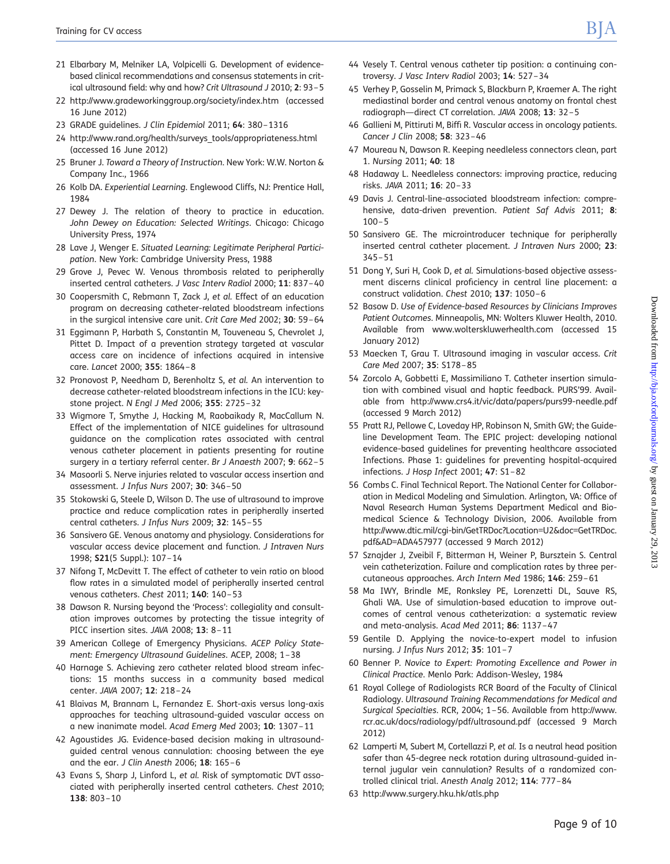- <span id="page-8-0"></span>21 Elbarbary M, Melniker LA, Volpicelli G. Development of evidencebased clinical recommendations and consensus statements in critical ultrasound field: why and how? Crit Ultrasound J 2010; 2: 93–5
- 22<http://www.gradeworkinggroup.org/society/index.htm> (accessed 16 June 2012)
- 23 GRADE guidelines. J Clin Epidemiol 2011; 64: 380–1316
- 24 [http://www.rand.org/health/surveys\\_tools/appropriateness.html](http://www.rand.org/health/surveys_tools/appropriateness.html) (accessed 16 June 2012)
- 25 Bruner J. Toward a Theory of Instruction. New York: W.W. Norton & Company Inc., 1966
- 26 Kolb DA. Experiential Learning. Englewood Cliffs, NJ: Prentice Hall, 1984
- 27 Dewey J. The relation of theory to practice in education. John Dewey on Education: Selected Writings. Chicago: Chicago University Press, 1974
- 28 Lave J, Wenger E. Situated Learning: Legitimate Peripheral Participation. New York: Cambridge University Press, 1988
- 29 Grove J, Pevec W. Venous thrombosis related to peripherally inserted central catheters. J Vasc Interv Radiol 2000; 11: 837–40
- 30 Coopersmith C, Rebmann T, Zack J, et al. Effect of an education program on decreasing catheter-related bloodstream infections in the surgical intensive care unit. Crit Care Med 2002; 30: 59–64
- 31 Eggimann P, Harbath S, Constantin M, Touveneau S, Chevrolet J, Pittet D. Impact of a prevention strategy targeted at vascular access care on incidence of infections acquired in intensive care. Lancet 2000; 355: 1864–8
- 32 Pronovost P, Needham D, Berenholtz S, et al. An intervention to decrease catheter-related bloodstream infections in the ICU: keystone project. N Engl J Med 2006; 355: 2725–32
- 33 Wigmore T, Smythe J, Hacking M, Raobaikady R, MacCallum N. Effect of the implementation of NICE guidelines for ultrasound guidance on the complication rates associated with central venous catheter placement in patients presenting for routine surgery in a tertiary referral center. Br J Anaesth 2007; 9: 662–5
- 34 Masoorli S. Nerve injuries related to vascular access insertion and assessment. J Infus Nurs 2007; 30: 346–50
- 35 Stokowski G, Steele D, Wilson D. The use of ultrasound to improve practice and reduce complication rates in peripherally inserted central catheters. J Infus Nurs 2009; 32: 145–55
- 36 Sansivero GE. Venous anatomy and physiology. Considerations for vascular access device placement and function. J Intraven Nurs 1998; S21(5 Suppl.): 107–14
- 37 Nifong T, McDevitt T. The effect of catheter to vein ratio on blood flow rates in a simulated model of peripherally inserted central venous catheters. Chest 2011; 140: 140–53
- 38 Dawson R. Nursing beyond the 'Process': collegiality and consultation improves outcomes by protecting the tissue integrity of PICC insertion sites. JAVA 2008; 13: 8-11
- 39 American College of Emergency Physicians. ACEP Policy Statement: Emergency Ultrasound Guidelines. ACEP, 2008; 1 –38
- 40 Harnage S. Achieving zero catheter related blood stream infections: 15 months success in a community based medical center. JAVA 2007; 12: 218–24
- 41 Blaivas M, Brannam L, Fernandez E. Short-axis versus long-axis approaches for teaching ultrasound-guided vascular access on a new inanimate model. Acad Emerg Med 2003; 10: 1307–11
- 42 Agoustides JG. Evidence-based decision making in ultrasoundguided central venous cannulation: choosing between the eye and the ear. J Clin Anesth 2006; 18: 165–6
- 43 Evans S, Sharp J, Linford L, et al. Risk of symptomatic DVT associated with peripherally inserted central catheters. Chest 2010; 138: 803–10
- 44 Vesely T. Central venous catheter tip position: a continuing controversy. J Vasc Interv Radiol 2003; 14: 527–34
- 45 Verhey P, Gosselin M, Primack S, Blackburn P, Kraemer A. The right mediastinal border and central venous anatomy on frontal chest radiograph—direct CT correlation. JAVA 2008; 13: 32–5
- 46 Gallieni M, Pittiruti M, Biffi R. Vascular access in oncology patients. Cancer J Clin 2008; 58: 323–46
- 47 Moureau N, Dawson R. Keeping needleless connectors clean, part 1. Nursing 2011; 40: 18
- 48 Hadaway L. Needleless connectors: improving practice, reducing risks. JAVA 2011; 16: 20–33
- 49 Davis J. Central-line-associated bloodstream infection: comprehensive, data-driven prevention. Patient Saf Advis 2011: 8:  $100 - 5$
- 50 Sansivero GE. The microintroducer technique for peripherally inserted central catheter placement. J Intraven Nurs 2000; 23: 345–51
- 51 Dong Y, Suri H, Cook D, et al. Simulations-based objective assessment discerns clinical proficiency in central line placement: a construct validation. Chest 2010; 137: 1050–6
- 52 Basow D. Use of Evidence-based Resources by Clinicians Improves Patient Outcomes. Minneapolis, MN: Wolters Kluwer Health, 2010. Available from<www.wolterskluwerhealth.com> (accessed 15 January 2012)
- 53 Maecken T, Grau T. Ultrasound imaging in vascular access. Crit Care Med 2007; 35: S178–85
- 54 Zorcolo A, Gobbetti E, Massimiliano T. Catheter insertion simulation with combined visual and haptic feedback. PURS'99. Available from<http://www.crs4.it/vic/data/papers/purs99-needle.pdf> (accessed 9 March 2012)
- 55 Pratt RJ, Pellowe C, Loveday HP, Robinson N, Smith GW; the Guideline Development Team. The EPIC project: developing national evidence-based guidelines for preventing healthcare associated Infections. Phase 1: guidelines for preventing hospital-acquired infections. J Hosp Infect 2001; 47: S1–82
- 56 Combs C. Final Technical Report. The National Center for Collaboration in Medical Modeling and Simulation. Arlington, VA: Office of Naval Research Human Systems Department Medical and Biomedical Science & Technology Division, 2006. Available from [http://www.dtic.mil/cgi-bin/GetTRDoc?Location=U2&doc=GetTRDoc.](http://www.dtic.mil/cgi-bin/GetTRDoc?Location=U2&doc=GetTRDoc.pdf&AD=ADA457977) [pdf&AD=ADA457977](http://www.dtic.mil/cgi-bin/GetTRDoc?Location=U2&doc=GetTRDoc.pdf&AD=ADA457977) (accessed 9 March 2012)
- 57 Sznajder J, Zveibil F, Bitterman H, Weiner P, Bursztein S. Central vein catheterization. Failure and complication rates by three percutaneous approaches. Arch Intern Med 1986; 146: 259–61
- 58 Ma IWY, Brindle ME, Ronksley PE, Lorenzetti DL, Sauve RS, Ghali WA. Use of simulation-based education to improve outcomes of central venous catheterization: a systematic review and meta-analysis. Acad Med 2011; 86: 1137–47
- 59 Gentile D. Applying the novice-to-expert model to infusion nursing. J Infus Nurs 2012; 35: 101–7
- 60 Benner P. Novice to Expert: Promoting Excellence and Power in Clinical Practice. Menlo Park: Addison-Wesley, 1984
- 61 Royal College of Radiologists RCR Board of the Faculty of Clinical Radiology. Ultrasound Training Recommendations for Medical and Surgical Specialties. RCR, 2004; 1–56. Available from [http://www.](http://www.rcr.ac.uk/docs/radiology/pdf/ultrasound.pdf) [rcr.ac.uk/docs/radiology/pdf/ultrasound.pdf](http://www.rcr.ac.uk/docs/radiology/pdf/ultrasound.pdf) (accessed 9 March 2012)
- 62 Lamperti M, Subert M, Cortellazzi P, et al. Is a neutral head position safer than 45-degree neck rotation during ultrasound-guided internal jugular vein cannulation? Results of a randomized controlled clinical trial. Anesth Analg 2012; 114: 777–84
- 63<http://www.surgery.hku.hk/atls.php>